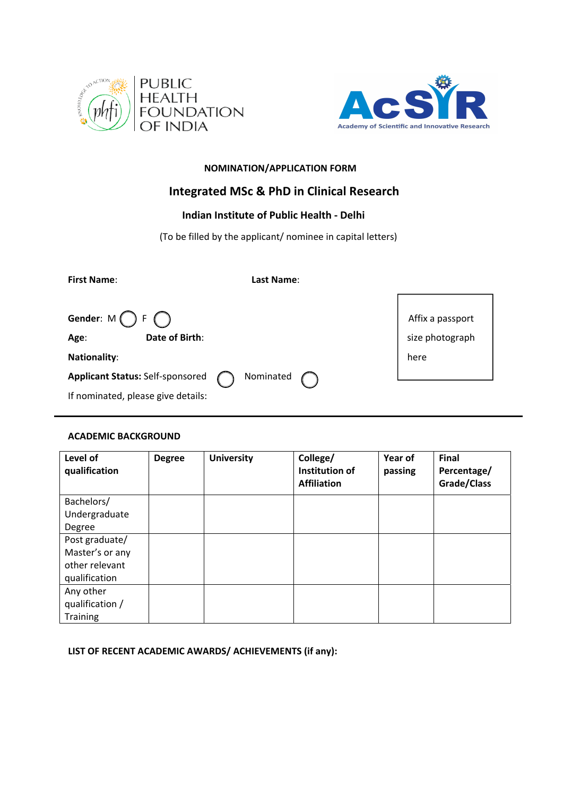



# **NOMINATION/APPLICATION FORM**

# **Integrated MSc & PhD in Clinical Research**

# **Indian Institute of Public Health ‐ Delhi**

(To be filled by the applicant/ nominee in capital letters)

| <b>First Name:</b>                            | Last Name: |                  |
|-----------------------------------------------|------------|------------------|
|                                               |            |                  |
| Gender: $M \bigcap F \bigcap$                 |            | Affix a passport |
| Date of Birth:<br>Age:                        |            | size photograph  |
| Nationality:                                  |            | here             |
| Nominated<br>Applicant Status: Self-sponsored |            |                  |
| If nominated, please give details:            |            |                  |

# **ACADEMIC BACKGROUND**

| Level of<br>qualification | <b>Degree</b> | <b>University</b> | College/<br>Institution of<br><b>Affiliation</b> | Year of<br>passing | <b>Final</b><br>Percentage/<br>Grade/Class |
|---------------------------|---------------|-------------------|--------------------------------------------------|--------------------|--------------------------------------------|
| Bachelors/                |               |                   |                                                  |                    |                                            |
| Undergraduate             |               |                   |                                                  |                    |                                            |
| Degree                    |               |                   |                                                  |                    |                                            |
| Post graduate/            |               |                   |                                                  |                    |                                            |
| Master's or any           |               |                   |                                                  |                    |                                            |
| other relevant            |               |                   |                                                  |                    |                                            |
| qualification             |               |                   |                                                  |                    |                                            |
| Any other                 |               |                   |                                                  |                    |                                            |
| qualification /           |               |                   |                                                  |                    |                                            |
| <b>Training</b>           |               |                   |                                                  |                    |                                            |

**LIST OF RECENT ACADEMIC AWARDS/ ACHIEVEMENTS (if any):**